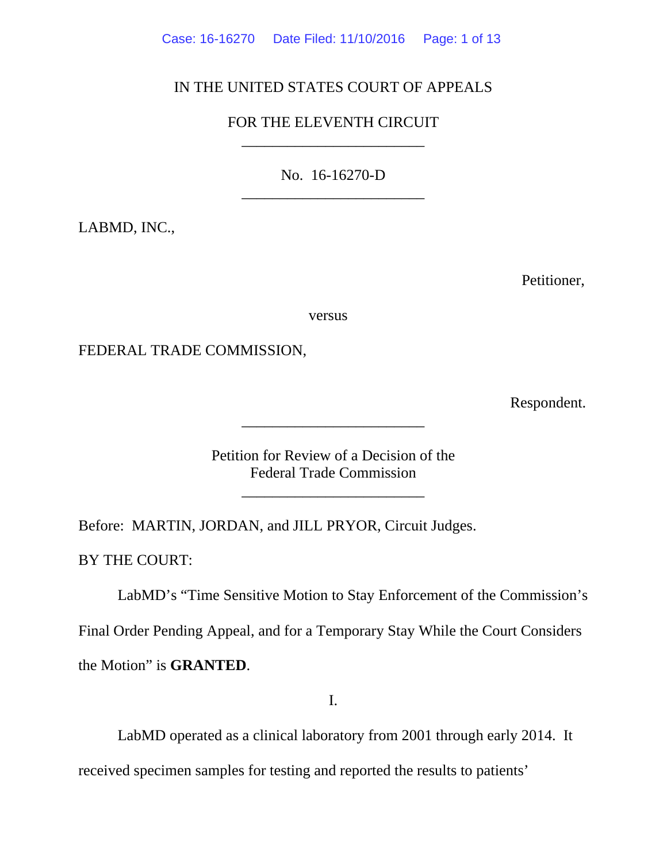# IN THE UNITED STATES COURT OF APPEALS

# FOR THE ELEVENTH CIRCUIT \_\_\_\_\_\_\_\_\_\_\_\_\_\_\_\_\_\_\_\_\_\_\_\_

No. 16-16270-D \_\_\_\_\_\_\_\_\_\_\_\_\_\_\_\_\_\_\_\_\_\_\_\_

LABMD, INC.,

Petitioner,

versus

FEDERAL TRADE COMMISSION,

Respondent.

Petition for Review of a Decision of the Federal Trade Commission

\_\_\_\_\_\_\_\_\_\_\_\_\_\_\_\_\_\_\_\_\_\_\_\_

\_\_\_\_\_\_\_\_\_\_\_\_\_\_\_\_\_\_\_\_\_\_\_\_

Before: MARTIN, JORDAN, and JILL PRYOR, Circuit Judges.

BY THE COURT:

 LabMD's "Time Sensitive Motion to Stay Enforcement of the Commission's Final Order Pending Appeal, and for a Temporary Stay While the Court Considers the Motion" is **GRANTED**.

I.

 LabMD operated as a clinical laboratory from 2001 through early 2014. It received specimen samples for testing and reported the results to patients'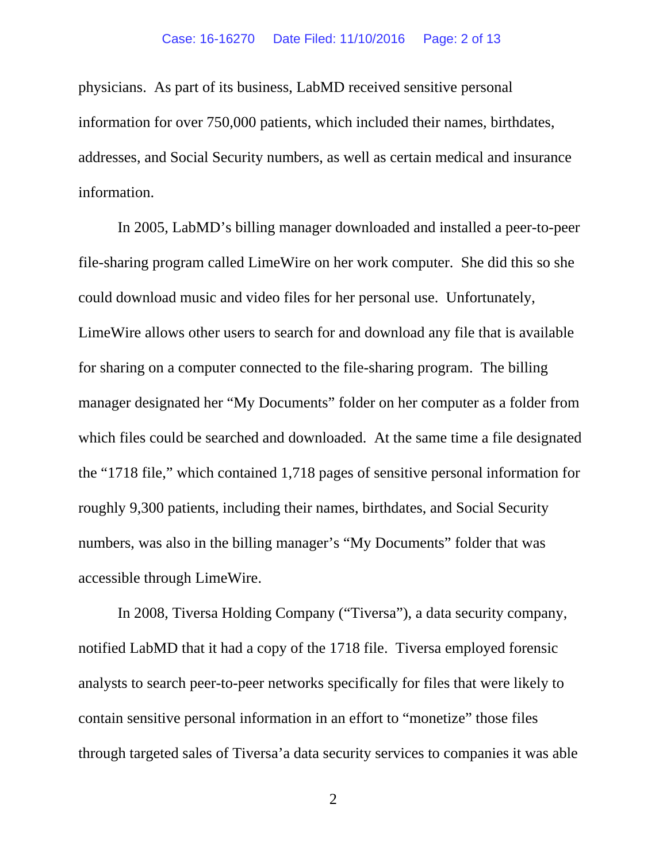physicians. As part of its business, LabMD received sensitive personal information for over 750,000 patients, which included their names, birthdates, addresses, and Social Security numbers, as well as certain medical and insurance information.

 In 2005, LabMD's billing manager downloaded and installed a peer-to-peer file-sharing program called LimeWire on her work computer. She did this so she could download music and video files for her personal use. Unfortunately, LimeWire allows other users to search for and download any file that is available for sharing on a computer connected to the file-sharing program. The billing manager designated her "My Documents" folder on her computer as a folder from which files could be searched and downloaded. At the same time a file designated the "1718 file," which contained 1,718 pages of sensitive personal information for roughly 9,300 patients, including their names, birthdates, and Social Security numbers, was also in the billing manager's "My Documents" folder that was accessible through LimeWire.

 In 2008, Tiversa Holding Company ("Tiversa"), a data security company, notified LabMD that it had a copy of the 1718 file. Tiversa employed forensic analysts to search peer-to-peer networks specifically for files that were likely to contain sensitive personal information in an effort to "monetize" those files through targeted sales of Tiversa'a data security services to companies it was able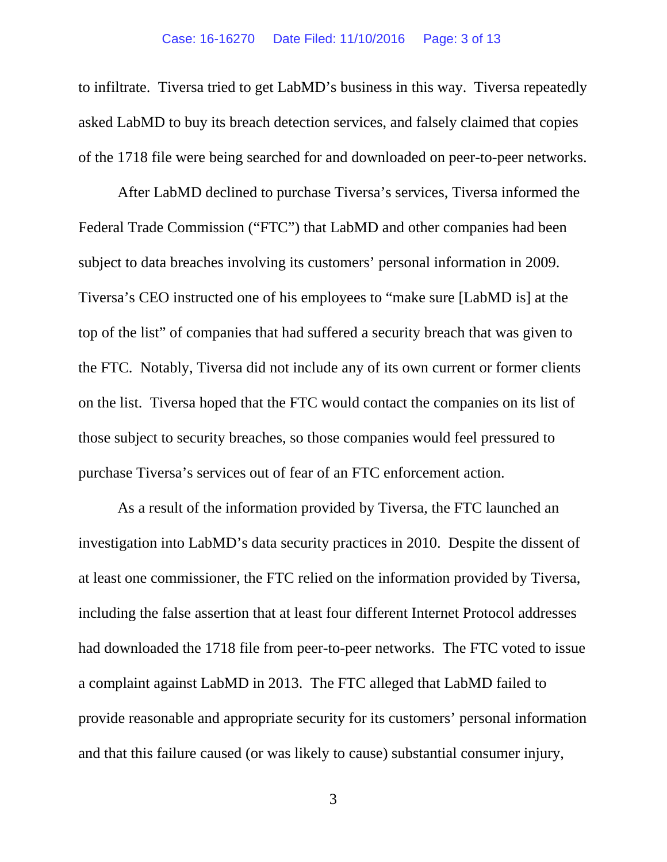to infiltrate. Tiversa tried to get LabMD's business in this way. Tiversa repeatedly asked LabMD to buy its breach detection services, and falsely claimed that copies of the 1718 file were being searched for and downloaded on peer-to-peer networks.

 After LabMD declined to purchase Tiversa's services, Tiversa informed the Federal Trade Commission ("FTC") that LabMD and other companies had been subject to data breaches involving its customers' personal information in 2009. Tiversa's CEO instructed one of his employees to "make sure [LabMD is] at the top of the list" of companies that had suffered a security breach that was given to the FTC. Notably, Tiversa did not include any of its own current or former clients on the list. Tiversa hoped that the FTC would contact the companies on its list of those subject to security breaches, so those companies would feel pressured to purchase Tiversa's services out of fear of an FTC enforcement action.

 As a result of the information provided by Tiversa, the FTC launched an investigation into LabMD's data security practices in 2010. Despite the dissent of at least one commissioner, the FTC relied on the information provided by Tiversa, including the false assertion that at least four different Internet Protocol addresses had downloaded the 1718 file from peer-to-peer networks. The FTC voted to issue a complaint against LabMD in 2013. The FTC alleged that LabMD failed to provide reasonable and appropriate security for its customers' personal information and that this failure caused (or was likely to cause) substantial consumer injury,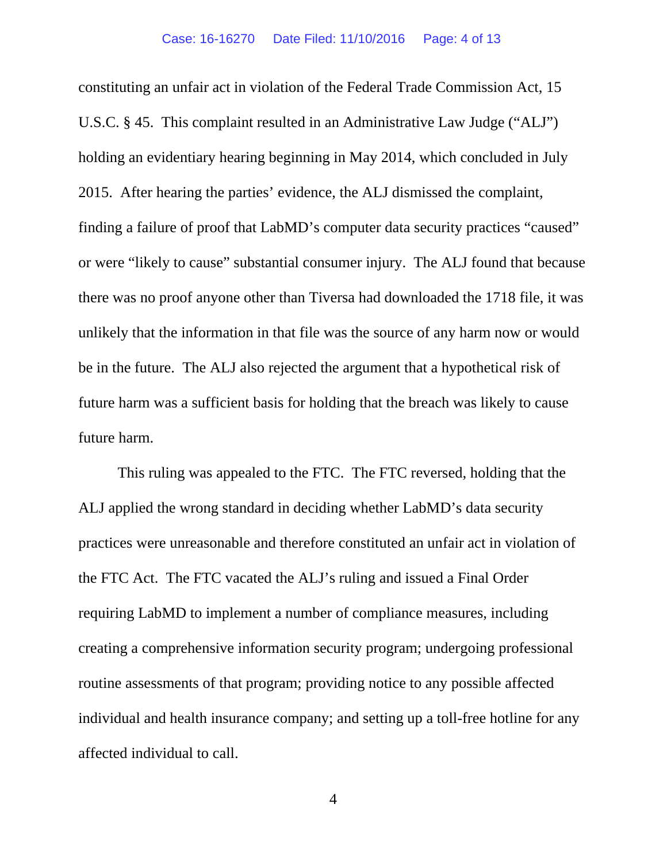constituting an unfair act in violation of the Federal Trade Commission Act, 15 U.S.C. § 45. This complaint resulted in an Administrative Law Judge ("ALJ") holding an evidentiary hearing beginning in May 2014, which concluded in July 2015. After hearing the parties' evidence, the ALJ dismissed the complaint, finding a failure of proof that LabMD's computer data security practices "caused" or were "likely to cause" substantial consumer injury. The ALJ found that because there was no proof anyone other than Tiversa had downloaded the 1718 file, it was unlikely that the information in that file was the source of any harm now or would be in the future. The ALJ also rejected the argument that a hypothetical risk of future harm was a sufficient basis for holding that the breach was likely to cause future harm.

 This ruling was appealed to the FTC. The FTC reversed, holding that the ALJ applied the wrong standard in deciding whether LabMD's data security practices were unreasonable and therefore constituted an unfair act in violation of the FTC Act. The FTC vacated the ALJ's ruling and issued a Final Order requiring LabMD to implement a number of compliance measures, including creating a comprehensive information security program; undergoing professional routine assessments of that program; providing notice to any possible affected individual and health insurance company; and setting up a toll-free hotline for any affected individual to call.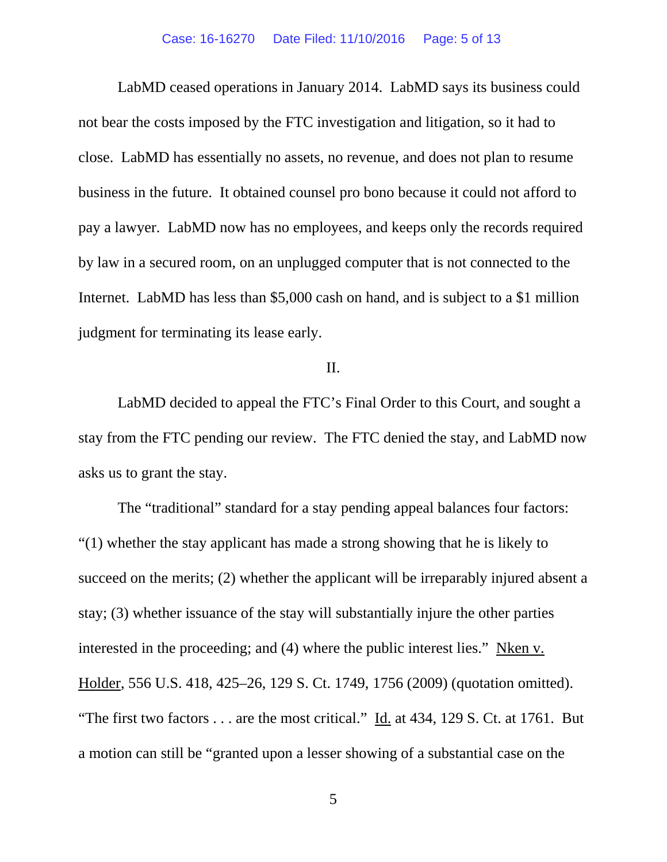LabMD ceased operations in January 2014. LabMD says its business could not bear the costs imposed by the FTC investigation and litigation, so it had to close. LabMD has essentially no assets, no revenue, and does not plan to resume business in the future. It obtained counsel pro bono because it could not afford to pay a lawyer. LabMD now has no employees, and keeps only the records required by law in a secured room, on an unplugged computer that is not connected to the Internet. LabMD has less than \$5,000 cash on hand, and is subject to a \$1 million judgment for terminating its lease early.

# II.

LabMD decided to appeal the FTC's Final Order to this Court, and sought a stay from the FTC pending our review. The FTC denied the stay, and LabMD now asks us to grant the stay.

The "traditional" standard for a stay pending appeal balances four factors: "(1) whether the stay applicant has made a strong showing that he is likely to succeed on the merits; (2) whether the applicant will be irreparably injured absent a stay; (3) whether issuance of the stay will substantially injure the other parties interested in the proceeding; and (4) where the public interest lies." Nken v. Holder, 556 U.S. 418, 425–26, 129 S. Ct. 1749, 1756 (2009) (quotation omitted). "The first two factors  $\dots$  are the most critical." Id. at 434, 129 S. Ct. at 1761. But a motion can still be "granted upon a lesser showing of a substantial case on the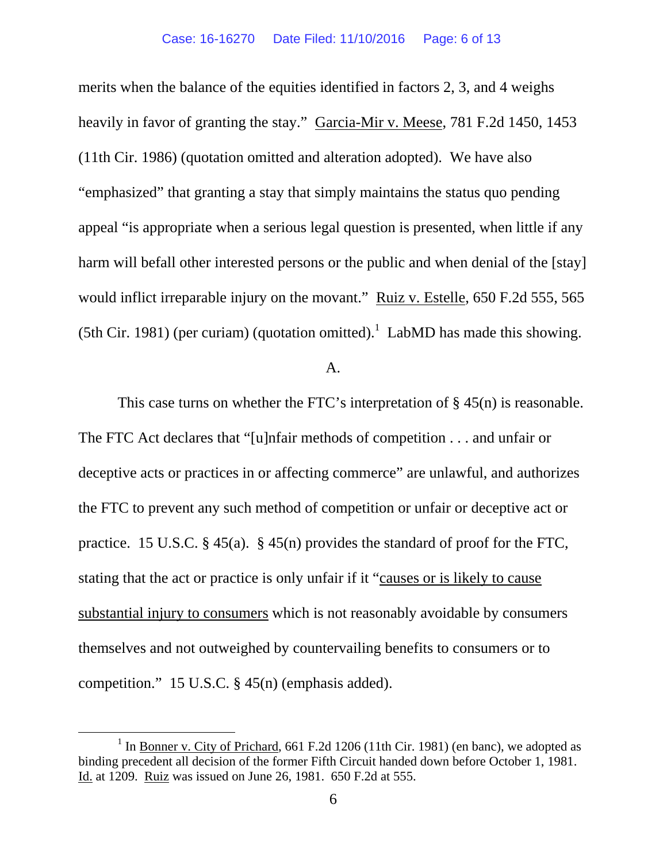merits when the balance of the equities identified in factors 2, 3, and 4 weighs heavily in favor of granting the stay." Garcia-Mir v. Meese, 781 F.2d 1450, 1453 (11th Cir. 1986) (quotation omitted and alteration adopted). We have also "emphasized" that granting a stay that simply maintains the status quo pending appeal "is appropriate when a serious legal question is presented, when little if any harm will befall other interested persons or the public and when denial of the [stay] would inflict irreparable injury on the movant." Ruiz v. Estelle, 650 F.2d 555, 565 (5th Cir. 1981) (per curiam) (quotation omitted).<sup>1</sup> LabMD has made this showing.

### A.

This case turns on whether the FTC's interpretation of § 45(n) is reasonable. The FTC Act declares that "[u]nfair methods of competition . . . and unfair or deceptive acts or practices in or affecting commerce" are unlawful, and authorizes the FTC to prevent any such method of competition or unfair or deceptive act or practice. 15 U.S.C. § 45(a). § 45(n) provides the standard of proof for the FTC, stating that the act or practice is only unfair if it "causes or is likely to cause substantial injury to consumers which is not reasonably avoidable by consumers themselves and not outweighed by countervailing benefits to consumers or to competition." 15 U.S.C. § 45(n) (emphasis added).

<sup>&</sup>lt;u>1</u>  $1$  In Bonner v. City of Prichard, 661 F.2d 1206 (11th Cir. 1981) (en banc), we adopted as binding precedent all decision of the former Fifth Circuit handed down before October 1, 1981. Id. at 1209. Ruiz was issued on June 26, 1981. 650 F.2d at 555.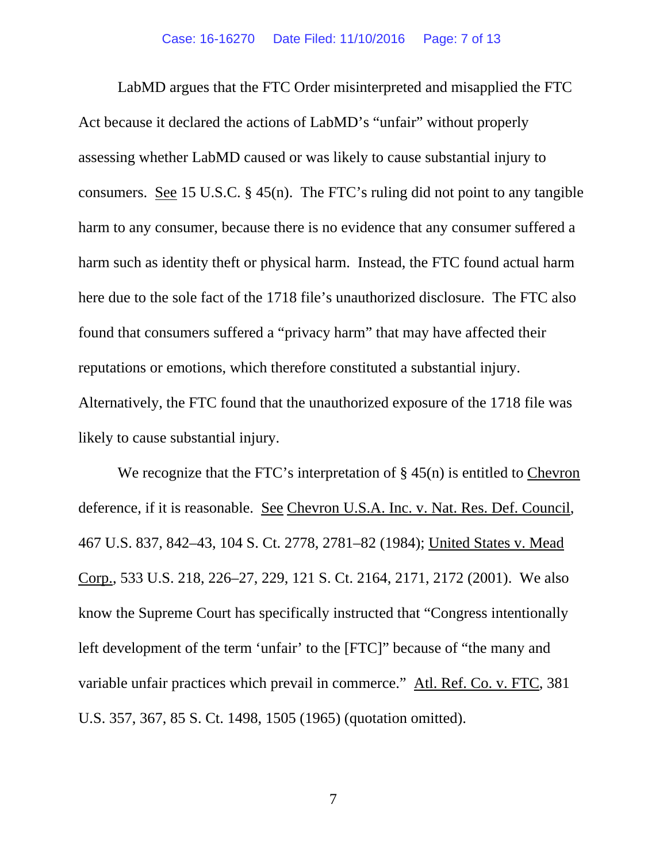LabMD argues that the FTC Order misinterpreted and misapplied the FTC Act because it declared the actions of LabMD's "unfair" without properly assessing whether LabMD caused or was likely to cause substantial injury to consumers. See 15 U.S.C.  $\S$  45(n). The FTC's ruling did not point to any tangible harm to any consumer, because there is no evidence that any consumer suffered a harm such as identity theft or physical harm. Instead, the FTC found actual harm here due to the sole fact of the 1718 file's unauthorized disclosure. The FTC also found that consumers suffered a "privacy harm" that may have affected their reputations or emotions, which therefore constituted a substantial injury. Alternatively, the FTC found that the unauthorized exposure of the 1718 file was likely to cause substantial injury.

We recognize that the FTC's interpretation of  $\S$  45(n) is entitled to Chevron deference, if it is reasonable. See Chevron U.S.A. Inc. v. Nat. Res. Def. Council, 467 U.S. 837, 842–43, 104 S. Ct. 2778, 2781–82 (1984); United States v. Mead Corp., 533 U.S. 218, 226–27, 229, 121 S. Ct. 2164, 2171, 2172 (2001). We also know the Supreme Court has specifically instructed that "Congress intentionally left development of the term 'unfair' to the [FTC]" because of "the many and variable unfair practices which prevail in commerce." Atl. Ref. Co. v. FTC, 381 U.S. 357, 367, 85 S. Ct. 1498, 1505 (1965) (quotation omitted).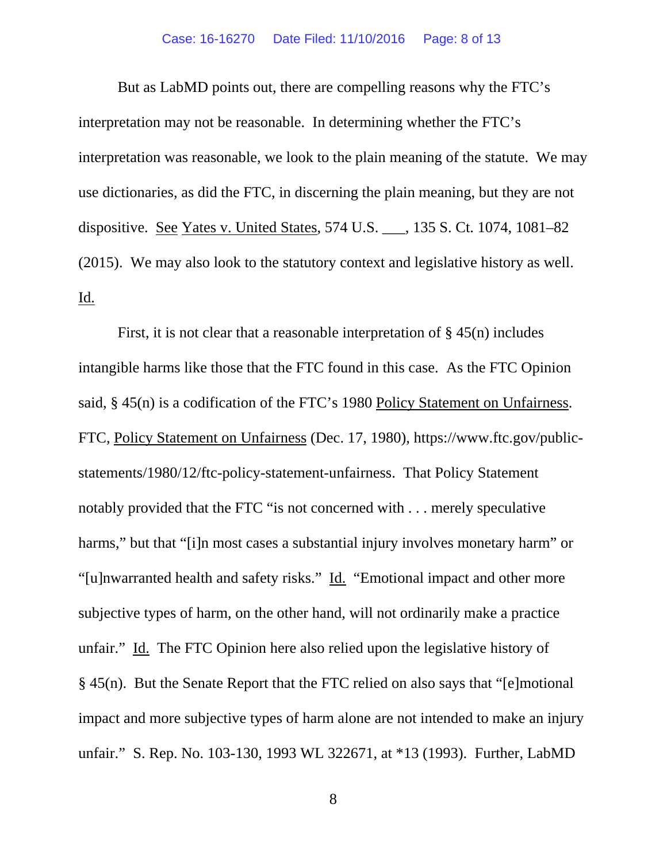### Case: 16-16270 Date Filed: 11/10/2016 Page: 8 of 13

But as LabMD points out, there are compelling reasons why the FTC's interpretation may not be reasonable. In determining whether the FTC's interpretation was reasonable, we look to the plain meaning of the statute. We may use dictionaries, as did the FTC, in discerning the plain meaning, but they are not dispositive. See Yates v. United States, 574 U.S. \_\_\_, 135 S. Ct. 1074, 1081–82 (2015). We may also look to the statutory context and legislative history as well. <u>Id.</u>

First, it is not clear that a reasonable interpretation of  $\S$  45(n) includes intangible harms like those that the FTC found in this case. As the FTC Opinion said, § 45(n) is a codification of the FTC's 1980 Policy Statement on Unfairness. FTC, Policy Statement on Unfairness (Dec. 17, 1980), https://www.ftc.gov/publicstatements/1980/12/ftc-policy-statement-unfairness. That Policy Statement notably provided that the FTC "is not concerned with . . . merely speculative harms," but that "[i]n most cases a substantial injury involves monetary harm" or "[u]nwarranted health and safety risks." Id. "Emotional impact and other more subjective types of harm, on the other hand, will not ordinarily make a practice unfair." Id. The FTC Opinion here also relied upon the legislative history of § 45(n). But the Senate Report that the FTC relied on also says that "[e]motional impact and more subjective types of harm alone are not intended to make an injury unfair." S. Rep. No. 103-130, 1993 WL 322671, at \*13 (1993). Further, LabMD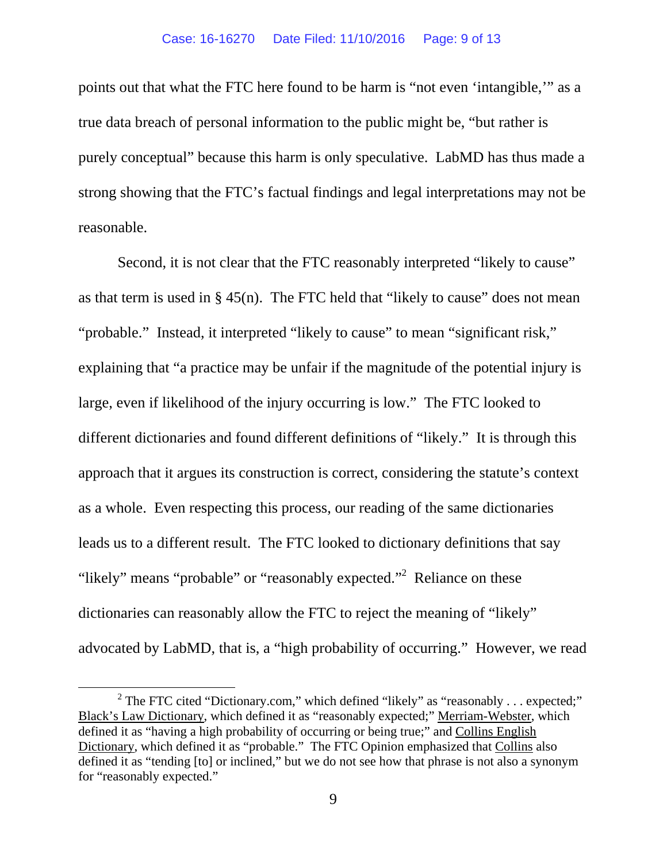points out that what the FTC here found to be harm is "not even 'intangible,'" as a true data breach of personal information to the public might be, "but rather is purely conceptual" because this harm is only speculative. LabMD has thus made a strong showing that the FTC's factual findings and legal interpretations may not be reasonable.

Second, it is not clear that the FTC reasonably interpreted "likely to cause" as that term is used in  $\S$  45(n). The FTC held that "likely to cause" does not mean "probable." Instead, it interpreted "likely to cause" to mean "significant risk," explaining that "a practice may be unfair if the magnitude of the potential injury is large, even if likelihood of the injury occurring is low." The FTC looked to different dictionaries and found different definitions of "likely." It is through this approach that it argues its construction is correct, considering the statute's context as a whole. Even respecting this process, our reading of the same dictionaries leads us to a different result. The FTC looked to dictionary definitions that say "likely" means "probable" or "reasonably expected."<sup>2</sup> Reliance on these dictionaries can reasonably allow the FTC to reject the meaning of "likely" advocated by LabMD, that is, a "high probability of occurring." However, we read

 <sup>2</sup>  $2$  The FTC cited "Dictionary.com," which defined "likely" as "reasonably . . . expected;" Black's Law Dictionary, which defined it as "reasonably expected;" Merriam-Webster, which defined it as "having a high probability of occurring or being true;" and Collins English Dictionary, which defined it as "probable." The FTC Opinion emphasized that Collins also defined it as "tending [to] or inclined," but we do not see how that phrase is not also a synonym for "reasonably expected."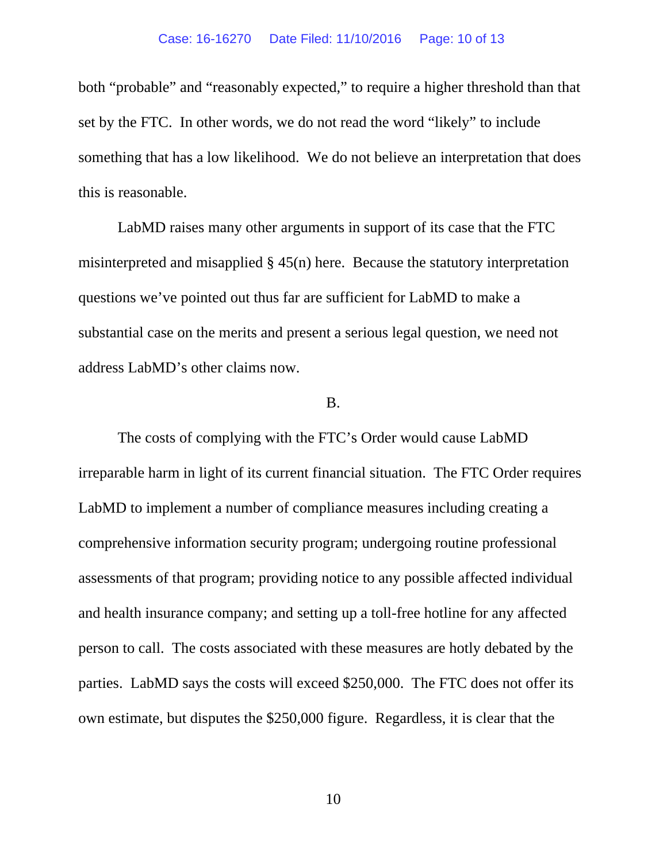both "probable" and "reasonably expected," to require a higher threshold than that set by the FTC. In other words, we do not read the word "likely" to include something that has a low likelihood. We do not believe an interpretation that does this is reasonable.

 LabMD raises many other arguments in support of its case that the FTC misinterpreted and misapplied § 45(n) here. Because the statutory interpretation questions we've pointed out thus far are sufficient for LabMD to make a substantial case on the merits and present a serious legal question, we need not address LabMD's other claims now.

## B.

The costs of complying with the FTC's Order would cause LabMD irreparable harm in light of its current financial situation. The FTC Order requires LabMD to implement a number of compliance measures including creating a comprehensive information security program; undergoing routine professional assessments of that program; providing notice to any possible affected individual and health insurance company; and setting up a toll-free hotline for any affected person to call. The costs associated with these measures are hotly debated by the parties. LabMD says the costs will exceed \$250,000. The FTC does not offer its own estimate, but disputes the \$250,000 figure. Regardless, it is clear that the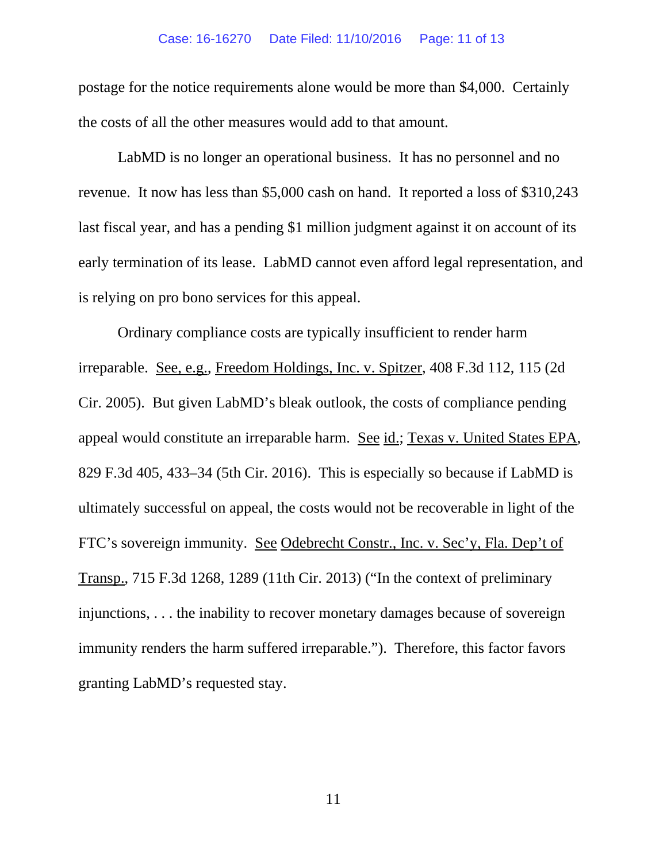#### Case: 16-16270 Date Filed: 11/10/2016 Page: 11 of 13

postage for the notice requirements alone would be more than \$4,000. Certainly the costs of all the other measures would add to that amount.

LabMD is no longer an operational business. It has no personnel and no revenue. It now has less than \$5,000 cash on hand. It reported a loss of \$310,243 last fiscal year, and has a pending \$1 million judgment against it on account of its early termination of its lease. LabMD cannot even afford legal representation, and is relying on pro bono services for this appeal.

Ordinary compliance costs are typically insufficient to render harm irreparable. See, e.g., Freedom Holdings, Inc. v. Spitzer, 408 F.3d 112, 115 (2d Cir. 2005). But given LabMD's bleak outlook, the costs of compliance pending appeal would constitute an irreparable harm. See id.; Texas v. United States EPA, 829 F.3d 405, 433–34 (5th Cir. 2016). This is especially so because if LabMD is ultimately successful on appeal, the costs would not be recoverable in light of the FTC's sovereign immunity. See Odebrecht Constr., Inc. v. Sec'y, Fla. Dep't of Transp., 715 F.3d 1268, 1289 (11th Cir. 2013) ("In the context of preliminary injunctions, . . . the inability to recover monetary damages because of sovereign immunity renders the harm suffered irreparable."). Therefore, this factor favors granting LabMD's requested stay.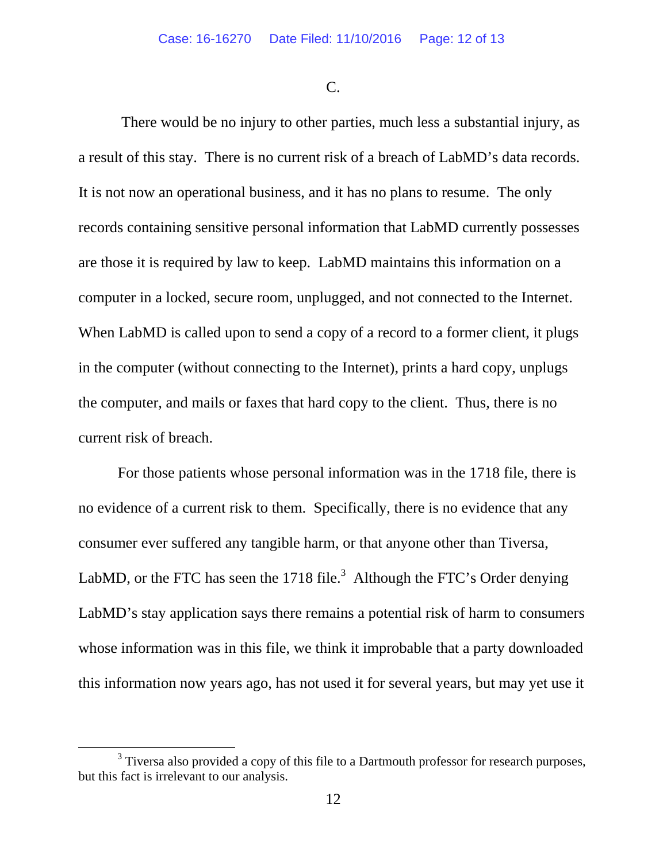C.

 There would be no injury to other parties, much less a substantial injury, as a result of this stay. There is no current risk of a breach of LabMD's data records. It is not now an operational business, and it has no plans to resume. The only records containing sensitive personal information that LabMD currently possesses are those it is required by law to keep. LabMD maintains this information on a computer in a locked, secure room, unplugged, and not connected to the Internet. When LabMD is called upon to send a copy of a record to a former client, it plugs in the computer (without connecting to the Internet), prints a hard copy, unplugs the computer, and mails or faxes that hard copy to the client. Thus, there is no current risk of breach.

For those patients whose personal information was in the 1718 file, there is no evidence of a current risk to them. Specifically, there is no evidence that any consumer ever suffered any tangible harm, or that anyone other than Tiversa, LabMD, or the FTC has seen the 1718 file.<sup>3</sup> Although the FTC's Order denying LabMD's stay application says there remains a potential risk of harm to consumers whose information was in this file, we think it improbable that a party downloaded this information now years ago, has not used it for several years, but may yet use it

 $\frac{1}{3}$  $3$  Tiversa also provided a copy of this file to a Dartmouth professor for research purposes, but this fact is irrelevant to our analysis.